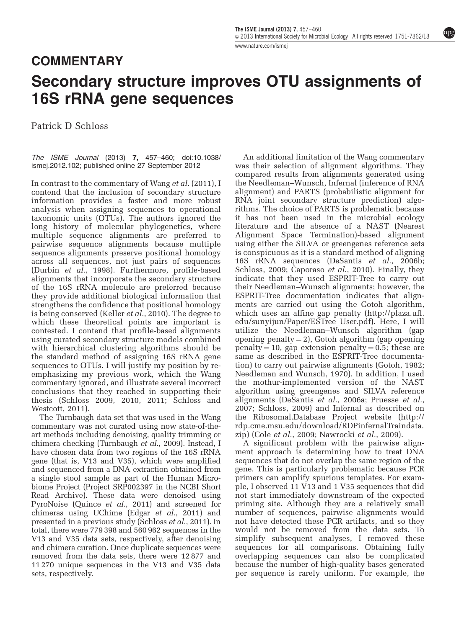npg

[www.nature.com/ismej](http://www.nature.com/ismej)

## COMMENTARY

## Secondary structure improves OTU assignments of 16S rRNA gene sequences

Patrick D Schloss

The ISME Journal (2013) 7, 457–460; doi[:10.1038/](http://dx.doi.org/10.1038/ismej.2012.102) [ismej.2012.102](http://dx.doi.org/10.1038/ismej.2012.102); published online 27 September 2012

In contrast to the commentary of Wang *et al.* [\(2011\)](#page-3-0), I contend that the inclusion of secondary structure information provides a faster and more robust analysis when assigning sequences to operational taxonomic units (OTUs). The authors ignored the long history of molecular phylogenetics, where multiple sequence alignments are preferred to pairwise sequence alignments because multiple sequence alignments preserve positional homology across all sequences, not just pairs of sequences [\(Durbin](#page-3-0) et al., 1998). Furthermore, profile-based alignments that incorporate the secondary structure of the 16S rRNA molecule are preferred because they provide additional biological information that strengthens the confidence that positional homology is being conserved [\(Keller](#page-3-0) et al., 2010). The degree to which these theoretical points are important is contested. I contend that profile-based alignments using curated secondary structure models combined with hierarchical clustering algorithms should be the standard method of assigning 16S rRNA gene sequences to OTUs. I will justify my position by reemphasizing my previous work, which the Wang commentary ignored, and illustrate several incorrect conclusions that they reached in supporting their thesis ([Schloss 2009, 2010, 2011; Schloss and](#page-3-0) [Westcott, 2011](#page-3-0)).

The Turnbaugh data set that was used in the Wang commentary was not curated using now state-of-theart methods including denoising, quality trimming or chimera checking ([Turnbaugh](#page-3-0) et al., 2009). Instead, I have chosen data from two regions of the 16S rRNA gene (that is, V13 and V35), which were amplified and sequenced from a DNA extraction obtained from a single stool sample as part of the Human Microbiome Project (Project SRP002397 in the NCBI Short Read Archive). These data were denoised using PyroNoise (Quince et al[., 2011\)](#page-3-0) and screened for chimeras using UChime (Edgar et al[., 2011](#page-3-0)) and presented in a previous study ([Schloss](#page-3-0) et al., 2011). In total, there were 779 398 and 560 962 sequences in the V13 and V35 data sets, respectively, after denoising and chimera curation. Once duplicate sequences were removed from the data sets, there were 12 877 and 11 270 unique sequences in the V13 and V35 data sets, respectively.

An additional limitation of the Wang commentary was their selection of alignment algorithms. They compared results from alignments generated using the Needleman–Wunsch, Infernal (inference of RNA alignment) and PARTS (probabilistic alignment for RNA joint secondary structure prediction) algorithms. The choice of PARTS is problematic because it has not been used in the microbial ecology literature and the absence of a NAST (Nearest Alignment Space Termination)-based alignment using either the SILVA or greengenes reference sets is conspicuous as it is a standard method of aligning 16S rRNA sequences [\(DeSantis](#page-3-0) et al., 2006b; [Schloss, 2009; Caporaso](#page-3-0) et al., 2010). Finally, they indicate that they used ESPRIT-Tree to carry out their Needleman–Wunsch alignments; however, the ESPRIT-Tree documentation indicates that alignments are carried out using the Gotoh algorithm, which uses an affine gap penalty ([http://plaza.ufl.](http://plaza.ufl.edu/sunyijun/Paper/ESTree_User.pdf) [edu/sunyijun/Paper/ESTree\\_User.pdf](http://plaza.ufl.edu/sunyijun/Paper/ESTree_User.pdf)). Here, I will utilize the Needleman–Wunsch algorithm (gap opening penalty  $= 2$ ), Gotoh algorithm (gap opening penalty = 10, gap extension penalty = 0.5; these are same as described in the ESPRIT-Tree documentation) to carry out pairwise alignments [\(Gotoh, 1982;](#page-3-0) [Needleman and Wunsch, 1970](#page-3-0)). In addition, I used the mothur-implemented version of the NAST algorithm using greengenes and SILVA reference alignments ([DeSantis](#page-3-0) et al., 2006a; [Pruesse](#page-3-0) et al., [2007; Schloss, 2009\)](#page-3-0) and Infernal as described on the Ribosomal.Database Project website [\(http://](http://rdp.cme.msu.edu/download/RDPinfernalTraindata.zip) [rdp.cme.msu.edu/download/RDPinfernalTraindata.](http://rdp.cme.msu.edu/download/RDPinfernalTraindata.zip) [zip](http://rdp.cme.msu.edu/download/RDPinfernalTraindata.zip)) (Cole et al.[, 2009](#page-3-0); [Nawrocki](#page-3-0) et al., 2009).

A significant problem with the pairwise alignment approach is determining how to treat DNA sequences that do not overlap the same region of the gene. This is particularly problematic because PCR primers can amplify spurious templates. For example, I observed 11 V13 and 1 V35 sequences that did not start immediately downstream of the expected priming site. Although they are a relatively small number of sequences, pairwise alignments would not have detected these PCR artifacts, and so they would not be removed from the data sets. To simplify subsequent analyses, I removed these sequences for all comparisons. Obtaining fully overlapping sequences can also be complicated because the number of high-quality bases generated per sequence is rarely uniform. For example, the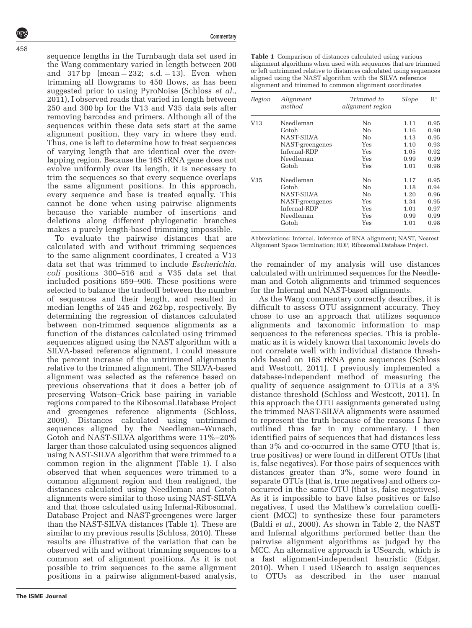**Commentary** 

sequence lengths in the Turnbaugh data set used in the Wang commentary varied in length between 200 and  $317bp$  (mean = 232; s.d. = 13). Even when trimming all flowgrams to 450 flows, as has been suggested prior to using PyroNoise [\(Schloss](#page-3-0) *et al.*, [2011\)](#page-3-0), I observed reads that varied in length between 250 and 300 bp for the V13 and V35 data sets after removing barcodes and primers. Although all of the sequences within these data sets start at the same alignment position, they vary in where they end. Thus, one is left to determine how to treat sequences of varying length that are identical over the overlapping region. Because the 16S rRNA gene does not evolve uniformly over its length, it is necessary to trim the sequences so that every sequence overlaps the same alignment positions. In this approach, every sequence and base is treated equally. This cannot be done when using pairwise alignments because the variable number of insertions and deletions along different phylogenetic branches makes a purely length-based trimming impossible.

To evaluate the pairwise distances that are calculated with and without trimming sequences to the same alignment coordinates, I created a V13 data set that was trimmed to include Escherichia. coli positions 300–516 and a V35 data set that included positions 659–906. These positions were selected to balance the tradeoff between the number of sequences and their length, and resulted in median lengths of 245 and 262 bp, respectively. By determining the regression of distances calculated between non-trimmed sequence alignments as a function of the distances calculated using trimmed sequences aligned using the NAST algorithm with a SILVA-based reference alignment, I could measure the percent increase of the untrimmed alignments relative to the trimmed alignment. The SILVA-based alignment was selected as the reference based on previous observations that it does a better job of preserving Watson–Crick base pairing in variable regions compared to the Ribosomal.Database Project and greengenes reference alignments ([Schloss,](#page-3-0) [2009\)](#page-3-0). Distances calculated using untrimmed sequences aligned by the Needleman–Wunsch, Gotoh and NAST-SILVA algorithms were 11%–20% larger than those calculated using sequences aligned using NAST-SILVA algorithm that were trimmed to a common region in the alignment (Table 1). I also observed that when sequences were trimmed to a common alignment region and then realigned, the distances calculated using Needleman and Gotoh alignments were similar to those using NAST-SILVA and that those calculated using Infernal-Ribosomal. Database Project and NAST-greengenes were larger than the NAST-SILVA distances (Table 1). These are similar to my previous results ([Schloss, 2010\)](#page-3-0). These results are illustrative of the variation that can be observed with and without trimming sequences to a common set of alignment positions. As it is not possible to trim sequences to the same alignment positions in a pairwise alignment-based analysis, Table 1 Comparison of distances calculated using various alignment algorithms when used with sequences that are trimmed or left untrimmed relative to distances calculated using sequences aligned using the NAST algorithm with the SILVA reference alignment and trimmed to common alignment coordinates

| Region | Alignment<br>method | Trimmed to<br>alignment region | Slope | $\mathbb{R}^2$ |
|--------|---------------------|--------------------------------|-------|----------------|
| V13    | Needleman           | No                             | 1.11  | 0.95           |
|        | Gotoh               | No                             | 1.16  | 0.90           |
|        | NAST-SILVA          | No                             | 1.13  | 0.95           |
|        | NAST-greengenes     | Yes                            | 1.10  | 0.93           |
|        | Infernal-RDP        | Yes                            | 1.05  | 0.92           |
|        | Needleman           | Yes                            | 0.99  | 0.99           |
|        | Gotoh               | Yes                            | 1.01  | 0.98           |
| V35    | Needleman           | No                             | 1.17  | 0.95           |
|        | Gotoh               | No                             | 1.18  | 0.94           |
|        | NAST-SILVA          | No                             | 1.20  | 0.96           |
|        | NAST-greengenes     | Yes                            | 1.34  | 0.95           |
|        | Infernal-RDP        | Yes                            | 1.01  | 0.97           |
|        | Needleman           | Yes                            | 0.99  | 0.99           |
|        | Gotoh               | Yes                            | 1.01  | 0.98           |

Abbreviations: Infernal, inference of RNA alignment; NAST, Nearest Alignment Space Termination; RDP, Ribosomal.Database Project.

the remainder of my analysis will use distances calculated with untrimmed sequences for the Needleman and Gotoh alignments and trimmed sequences for the Infernal and NAST-based alignments.

As the Wang commentary correctly describes, it is difficult to assess OTU assignment accuracy. They chose to use an approach that utilizes sequence alignments and taxonomic information to map sequences to the references species. This is problematic as it is widely known that taxonomic levels do not correlate well with individual distance thresholds based on 16S rRNA gene sequences ([Schloss](#page-3-0) [and Westcott, 2011](#page-3-0)). I previously implemented a database-independent method of measuring the quality of sequence assignment to OTUs at a 3% distance threshold [\(Schloss and Westcott, 2011](#page-3-0)). In this approach the OTU assignments generated using the trimmed NAST-SILVA alignments were assumed to represent the truth because of the reasons I have outlined thus far in my commentary. I then identified pairs of sequences that had distances less than 3% and co-occurred in the same OTU (that is, true positives) or were found in different OTUs (that is, false negatives). For those pairs of sequences with distances greater than 3%, some were found in separate OTUs (that is, true negatives) and others cooccurred in the same OTU (that is, false negatives). As it is impossible to have false positives or false negatives, I used the Matthew's correlation coefficient (MCC) to synthesize these four parameters (Baldi et al.[, 2000\)](#page-3-0). As shown in [Table 2](#page-2-0), the NAST and Infernal algorithms performed better than the pairwise alignment algorithms as judged by the MCC. An alternative approach is USearch, which is a fast alignment-independent heuristic [\(Edgar,](#page-3-0) [2010\)](#page-3-0). When I used USearch to assign sequences to OTUs as described in the user manual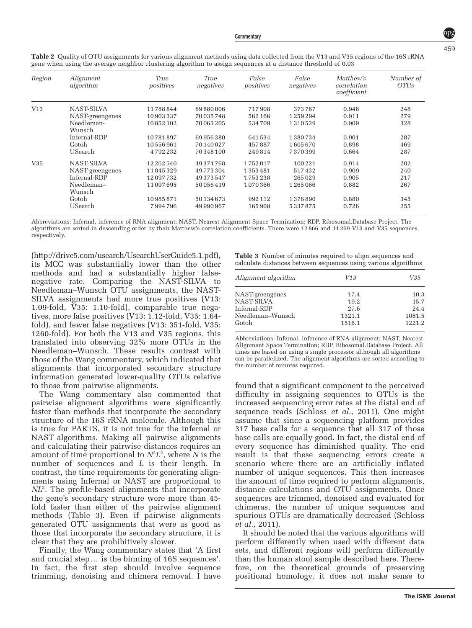| Region | Alignment<br>algorithm | True<br>positives | True<br>negatives | False<br>positives | False<br>negatives | Matthew's<br>correlation<br>coefficient | Number of<br><i>OTUs</i> |
|--------|------------------------|-------------------|-------------------|--------------------|--------------------|-----------------------------------------|--------------------------|
| V13    | NAST-SILVA             | 11788844          | 69880006          | 717908             | 373787             | 0.948                                   | 248                      |
|        | NAST-greengenes        | 10903337          | 70035748          | 562166             | 1259294            | 0.911                                   | 279                      |
|        | Needleman-<br>Wunsch   | 10852102          | 70 063 205        | 534709             | 1310529            | 0.909                                   | 328                      |
|        | Infernal-RDP           | 10781897          | 69956380          | 641534             | 1380734            | 0.901                                   | 287                      |
|        | Gotoh                  | 10556961          | 70 140 027        | 457887             | 1605670            | 0.898                                   | 469                      |
|        | USearch                | 4792232           | 70 348 100        | 249814             | 7370399            | 0.664                                   | 287                      |
| V35    | NAST-SILVA             | 12 262 540        | 49374768          | 1752017            | 100221             | 0.914                                   | 202                      |
|        | NAST-greengenes        | 11845329          | 49773304          | 1353481            | 517432             | 0.909                                   | 240                      |
|        | Infernal-RDP           | 12097732          | 49373547          | 1753238            | 265029             | 0.905                                   | 217                      |
|        | Needleman-             | 11097695          | 50056419          | 1070366            | 1265066            | 0.882                                   | 267                      |
|        | Wunsch                 |                   |                   |                    |                    |                                         |                          |
|        | Gotoh                  | 10985871          | 50134673          | 992112             | 1376890            | 0.880                                   | 345                      |
|        | USearch                | 7994796           | 49 990 967        | 165 908            | 5337875            | 0.726                                   | 255                      |

<span id="page-2-0"></span>Table 2 Quality of OTU assignments for various alignment methods using data collected from the V13 and V35 regions of the 16S rRNA gene when using the average neighbor clustering algorithm to assign sequences at a distance threshold of 0.03

Abbreviations: Infernal, inference of RNA alignment; NAST, Nearest Alignment Space Termination; RDP, Ribosomal.Database Project. The algorithms are sorted in descending order by their Matthew's correlation coefficients. There were 12 866 and 11 269 V13 and V35 sequences, respectively.

[\(http://drive5.com/usearch/UsearchUserGuide5.1.pdf\)](http://drive5.com/usearch/UsearchUserGuide5.1.pdf), its MCC was substantially lower than the other methods and had a substantially higher falsenegative rate. Comparing the NAST-SILVA to Needleman–Wunsch OTU assignments, the NAST-SILVA assignments had more true positives (V13: 1.09-fold, V35: 1.10-fold), comparable true negatives, more false positives (V13: 1.12-fold, V35: 1.64 fold), and fewer false negatives (V13: 351-fold, V35: 1260-fold). For both the V13 and V35 regions, this translated into observing 32% more OTUs in the Needleman–Wunsch. These results contrast with those of the Wang commentary, which indicated that alignments that incorporated secondary structure information generated lower-quality OTUs relative to those from pairwise alignments.

The Wang commentary also commented that pairwise alignment algorithms were significantly faster than methods that incorporate the secondary structure of the 16S rRNA molecule. Although this is true for PARTS, it is not true for the Infernal or NAST algorithms. Making all pairwise alignments and calculating their pairwise distances requires an amount of time proportional to  $N^2L^2$ , where N is the number of sequences and L is their length. In contrast, the time requirements for generating alignments using Infernal or NAST are proportional to NL<sup>2</sup> . The profile-based alignments that incorporate the gene's secondary structure were more than 45 fold faster than either of the pairwise alignment methods (Table 3). Even if pairwise alignments generated OTU assignments that were as good as those that incorporate the secondary structure, it is clear that they are prohibitively slower.

Finally, the Wang commentary states that 'A first and crucial step... is the binning of 16S sequences'. In fact, the first step should involve sequence trimming, denoising and chimera removal. I have

Table 3 Number of minutes required to align sequences and calculate distances between sequences using various algorithms

| Alignment algorithm | V13    | V35    |
|---------------------|--------|--------|
| NAST-greengenes     | 17.4   | 10.3   |
| NAST-SILVA          | 19.2   | 15.7   |
| Infernal-RDP        | 27.6   | 24.4   |
| Needleman-Wunsch    | 1321.1 | 1081.5 |
| Gotoh               | 1516.1 | 1221.2 |

Abbreviations: Infernal, inference of RNA alignment; NAST, Nearest Alignment Space Termination; RDP, Ribosomal.Database Project. All times are based on using a single processor although all algorithms can be parallelized. The alignment algorithms are sorted according to the number of minutes required.

found that a significant component to the perceived difficulty in assigning sequences to OTUs is the increased sequencing error rates at the distal end of sequence reads ([Schloss](#page-3-0) et al., 2011). One might assume that since a sequencing platform provides 317 base calls for a sequence that all 317 of those base calls are equally good. In fact, the distal end of every sequence has diminished quality. The end result is that these sequencing errors create a scenario where there are an artificially inflated number of unique sequences. This then increases the amount of time required to perform alignments, distance calculations and OTU assignments. Once sequences are trimmed, denoised and evaluated for chimeras, the number of unique sequences and spurious OTUs are dramatically decreased ([Schloss](#page-3-0) et al.[, 2011\)](#page-3-0).

It should be noted that the various algorithms will perform differently when used with different data sets, and different regions will perform differently than the human stool sample described here. Therefore, on the theoretical grounds of preserving positional homology, it does not make sense to